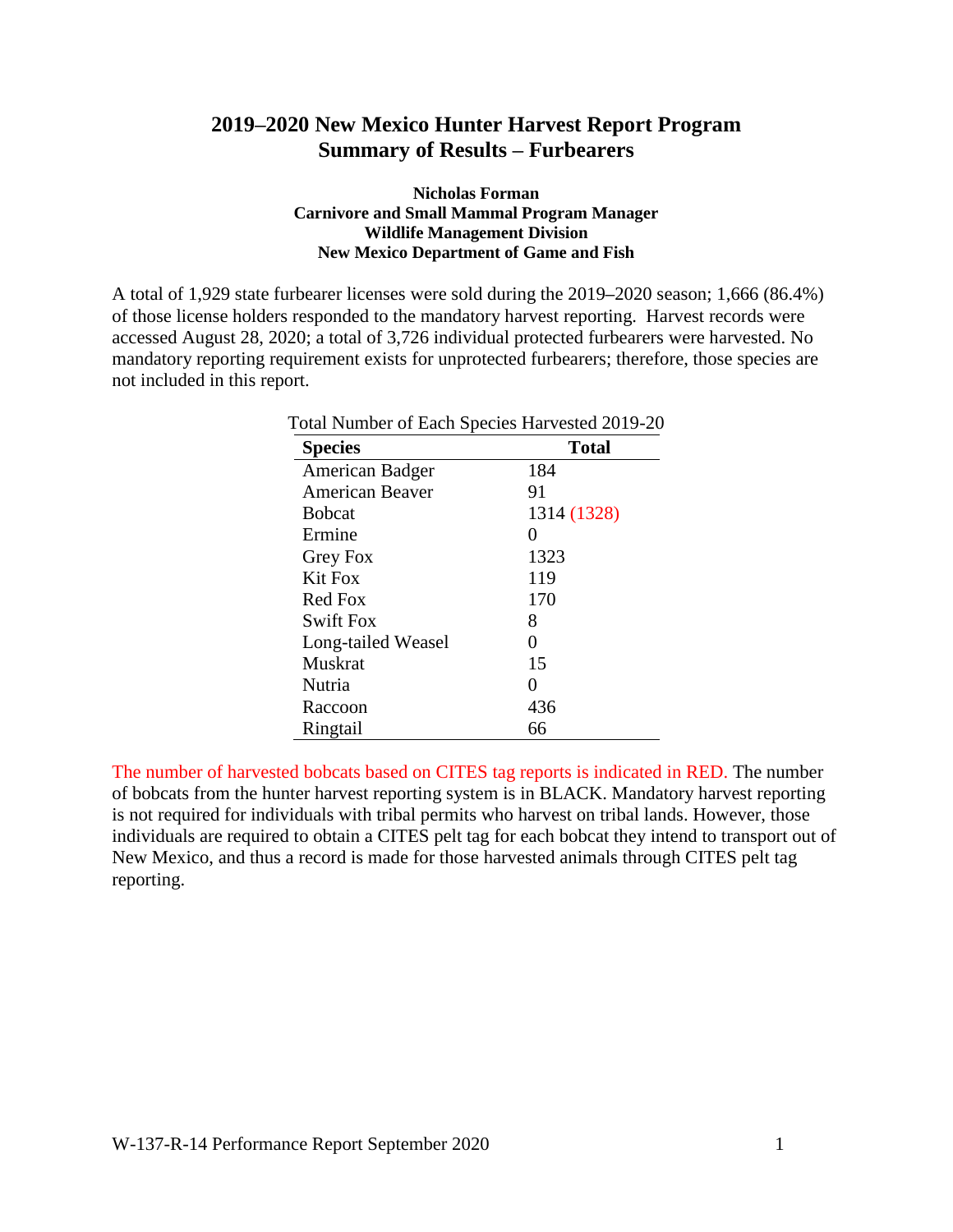## **2019–2020 New Mexico Hunter Harvest Report Program Summary of Results – Furbearers**

## **Nicholas Forman Carnivore and Small Mammal Program Manager Wildlife Management Division New Mexico Department of Game and Fish**

A total of 1,929 state furbearer licenses were sold during the 2019**–**2020 season; 1,666 (86.4%) of those license holders responded to the mandatory harvest reporting. Harvest records were accessed August 28, 2020; a total of 3,726 individual protected furbearers were harvested. No mandatory reporting requirement exists for unprotected furbearers; therefore, those species are not included in this report.

| Total Number of Each Species Harvested 2019-20 |              |  |  |  |  |  |  |  |
|------------------------------------------------|--------------|--|--|--|--|--|--|--|
| <b>Species</b>                                 | <b>Total</b> |  |  |  |  |  |  |  |
| American Badger                                | 184          |  |  |  |  |  |  |  |
| American Beaver                                | 91           |  |  |  |  |  |  |  |
| <b>B</b> obcat                                 | 1314 (1328)  |  |  |  |  |  |  |  |
| Ermine                                         | 0            |  |  |  |  |  |  |  |
| Grey Fox                                       | 1323         |  |  |  |  |  |  |  |
| Kit Fox                                        | 119          |  |  |  |  |  |  |  |
| Red Fox                                        | 170          |  |  |  |  |  |  |  |
| Swift Fox                                      | 8            |  |  |  |  |  |  |  |
| Long-tailed Weasel                             | 0            |  |  |  |  |  |  |  |
| Muskrat                                        | 15           |  |  |  |  |  |  |  |
| Nutria                                         | 0            |  |  |  |  |  |  |  |
| Raccoon                                        | 436          |  |  |  |  |  |  |  |
| Ringtail                                       | 66           |  |  |  |  |  |  |  |

The number of harvested bobcats based on CITES tag reports is indicated in RED. The number of bobcats from the hunter harvest reporting system is in BLACK. Mandatory harvest reporting is not required for individuals with tribal permits who harvest on tribal lands. However, those individuals are required to obtain a CITES pelt tag for each bobcat they intend to transport out of New Mexico, and thus a record is made for those harvested animals through CITES pelt tag reporting.